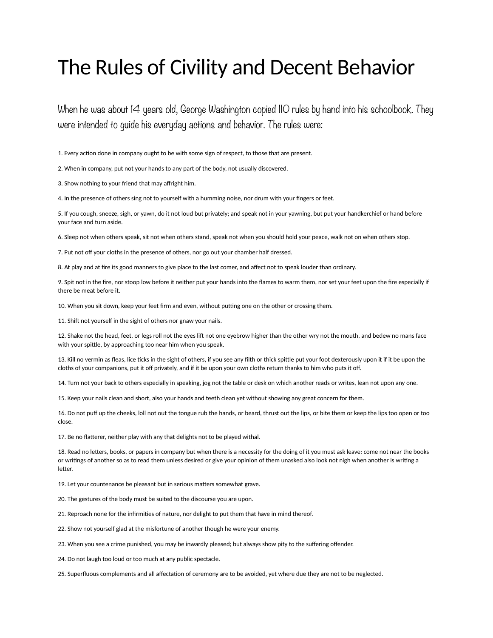## The Rules of Civility and Decent Behavior

When he was about 14 years old, George Washington copied IIO rules by hand into his schoolbook. They were intended to guide his everyday actions and behavior. The rules were:

1. Every action done in company ought to be with some sign of respect, to those that are present.

2. When in company, put not your hands to any part of the body, not usually discovered.

3. Show nothing to your friend that may affright him.

4. In the presence of others sing not to yourself with a humming noise, nor drum with your fingers or feet.

5. If you cough, sneeze, sigh, or yawn, do it not loud but privately; and speak not in your yawning, but put your handkerchief or hand before your face and turn aside.

6. Sleep not when others speak, sit not when others stand, speak not when you should hold your peace, walk not on when others stop.

7. Put not off your cloths in the presence of others, nor go out your chamber half dressed.

8. At play and at fire its good manners to give place to the last comer, and affect not to speak louder than ordinary.

9. Spit not in the fire, nor stoop low before it neither put your hands into the flames to warm them, nor set your feet upon the fire especially if there be meat before it.

10. When you sit down, keep your feet firm and even, without putting one on the other or crossing them.

11. Shift not yourself in the sight of others nor gnaw your nails.

12. Shake not the head, feet, or legs roll not the eyes lift not one eyebrow higher than the other wry not the mouth, and bedew no mans face with your spittle, by approaching too near him when you speak.

13. Kill no vermin as fleas, lice ticks in the sight of others, if you see any filth or thick spittle put your foot dexterously upon it if it be upon the cloths of your companions, put it off privately, and if it be upon your own cloths return thanks to him who puts it off.

14. Turn not your back to others especially in speaking, jog not the table or desk on which another reads or writes, lean not upon any one.

15. Keep your nails clean and short, also your hands and teeth clean yet without showing any great concern for them.

16. Do not puff up the cheeks, loll not out the tongue rub the hands, or beard, thrust out the lips, or bite them or keep the lips too open or too close.

17. Be no flatterer, neither play with any that delights not to be played withal.

18. Read no letters, books, or papers in company but when there is a necessity for the doing of it you must ask leave: come not near the books or writings of another so as to read them unless desired or give your opinion of them unasked also look not nigh when another is writing a letter.

19. Let your countenance be pleasant but in serious matters somewhat grave.

20. The gestures of the body must be suited to the discourse you are upon.

21. Reproach none for the infirmities of nature, nor delight to put them that have in mind thereof.

22. Show not yourself glad at the misfortune of another though he were your enemy.

23. When you see a crime punished, you may be inwardly pleased; but always show pity to the suffering offender.

24. Do not laugh too loud or too much at any public spectacle.

25. Superfluous complements and all affectation of ceremony are to be avoided, yet where due they are not to be neglected.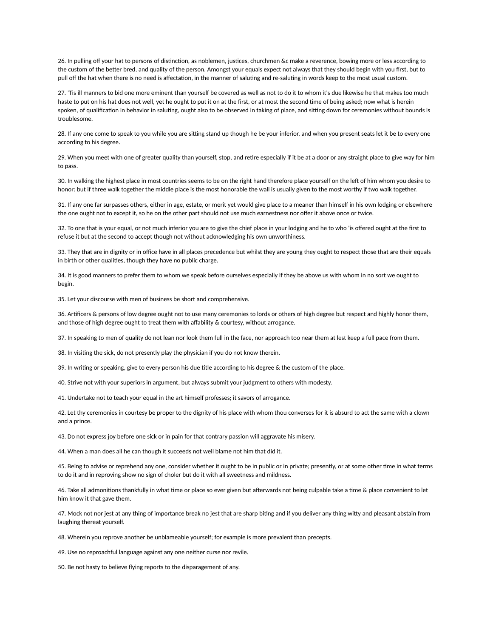26. In pulling off your hat to persons of distinction, as noblemen, justices, churchmen &c make a reverence, bowing more or less according to the custom of the better bred, and quality of the person. Amongst your equals expect not always that they should begin with you first, but to pull off the hat when there is no need is affectation, in the manner of saluting and re-saluting in words keep to the most usual custom.

27. 'Tis ill manners to bid one more eminent than yourself be covered as well as not to do it to whom it's due likewise he that makes too much haste to put on his hat does not well, yet he ought to put it on at the first, or at most the second time of being asked; now what is herein spoken, of qualification in behavior in saluting, ought also to be observed in taking of place, and sitting down for ceremonies without bounds is troublesome.

28. If any one come to speak to you while you are sitting stand up though he be your inferior, and when you present seats let it be to every one according to his degree.

29. When you meet with one of greater quality than yourself, stop, and retire especially if it be at a door or any straight place to give way for him to pass.

30. In walking the highest place in most countries seems to be on the right hand therefore place yourself on the left of him whom you desire to honor: but if three walk together the middle place is the most honorable the wall is usually given to the most worthy if two walk together.

31. If any one far surpasses others, either in age, estate, or merit yet would give place to a meaner than himself in his own lodging or elsewhere the one ought not to except it, so he on the other part should not use much earnestness nor offer it above once or twice.

32. To one that is your equal, or not much inferior you are to give the chief place in your lodging and he to who 'is offered ought at the first to refuse it but at the second to accept though not without acknowledging his own unworthiness.

33. They that are in dignity or in office have in all places precedence but whilst they are young they ought to respect those that are their equals in birth or other qualities, though they have no public charge.

34. It is good manners to prefer them to whom we speak before ourselves especially if they be above us with whom in no sort we ought to begin.

35. Let your discourse with men of business be short and comprehensive.

36. Artificers & persons of low degree ought not to use many ceremonies to lords or others of high degree but respect and highly honor them, and those of high degree ought to treat them with affability & courtesy, without arrogance.

37. In speaking to men of quality do not lean nor look them full in the face, nor approach too near them at lest keep a full pace from them.

38. In visiting the sick, do not presently play the physician if you do not know therein.

39. In writing or speaking, give to every person his due title according to his degree & the custom of the place.

40. Strive not with your superiors in argument, but always submit your judgment to others with modesty.

41. Undertake not to teach your equal in the art himself professes; it savors of arrogance.

42. Let thy ceremonies in courtesy be proper to the dignity of his place with whom thou converses for it is absurd to act the same with a clown and a prince.

43. Do not express joy before one sick or in pain for that contrary passion will aggravate his misery.

44. When a man does all he can though it succeeds not well blame not him that did it.

45. Being to advise or reprehend any one, consider whether it ought to be in public or in private; presently, or at some other time in what terms to do it and in reproving show no sign of choler but do it with all sweetness and mildness.

46. Take all admonitions thankfully in what time or place so ever given but afterwards not being culpable take a time & place convenient to let him know it that gave them.

47. Mock not nor jest at any thing of importance break no jest that are sharp biting and if you deliver any thing witty and pleasant abstain from laughing thereat yourself.

48. Wherein you reprove another be unblameable yourself; for example is more prevalent than precepts.

49. Use no reproachful language against any one neither curse nor revile.

50. Be not hasty to believe flying reports to the disparagement of any.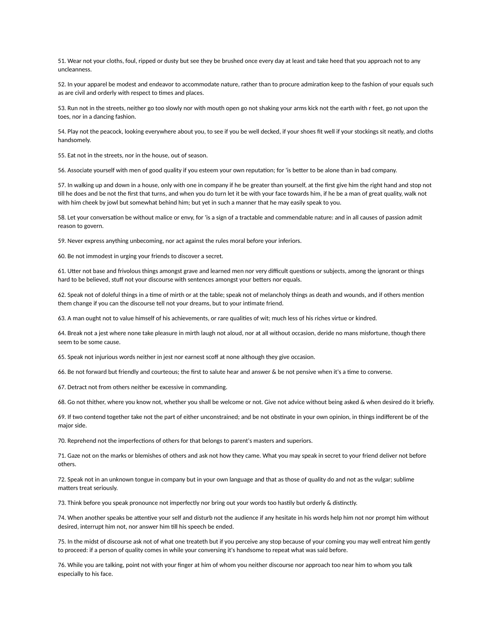51. Wear not your cloths, foul, ripped or dusty but see they be brushed once every day at least and take heed that you approach not to any uncleanness.

52. In your apparel be modest and endeavor to accommodate nature, rather than to procure admiration keep to the fashion of your equals such as are civil and orderly with respect to times and places.

53. Run not in the streets, neither go too slowly nor with mouth open go not shaking your arms kick not the earth with r feet, go not upon the toes, nor in a dancing fashion.

54. Play not the peacock, looking everywhere about you, to see if you be well decked, if your shoes fit well if your stockings sit neatly, and cloths handsomely.

55. Eat not in the streets, nor in the house, out of season.

56. Associate yourself with men of good quality if you esteem your own reputation; for 'is better to be alone than in bad company.

57. In walking up and down in a house, only with one in company if he be greater than yourself, at the first give him the right hand and stop not till he does and be not the first that turns, and when you do turn let it be with your face towards him, if he be a man of great quality, walk not with him cheek by jowl but somewhat behind him; but yet in such a manner that he may easily speak to you.

58. Let your conversation be without malice or envy, for 'is a sign of a tractable and commendable nature: and in all causes of passion admit reason to govern.

59. Never express anything unbecoming, nor act against the rules moral before your inferiors.

60. Be not immodest in urging your friends to discover a secret.

61. Utter not base and frivolous things amongst grave and learned men nor very difficult questions or subjects, among the ignorant or things hard to be believed, stuff not your discourse with sentences amongst your betters nor equals.

62. Speak not of doleful things in a time of mirth or at the table; speak not of melancholy things as death and wounds, and if others mention them change if you can the discourse tell not your dreams, but to your intimate friend.

63. A man ought not to value himself of his achievements, or rare qualities of wit; much less of his riches virtue or kindred.

64. Break not a jest where none take pleasure in mirth laugh not aloud, nor at all without occasion, deride no mans misfortune, though there seem to be some cause.

65. Speak not injurious words neither in jest nor earnest scoff at none although they give occasion.

66. Be not forward but friendly and courteous; the first to salute hear and answer & be not pensive when it's a time to converse.

67. Detract not from others neither be excessive in commanding.

68. Go not thither, where you know not, whether you shall be welcome or not. Give not advice without being asked & when desired do it briefly.

69. If two contend together take not the part of either unconstrained; and be not obstinate in your own opinion, in things indifferent be of the major side.

70. Reprehend not the imperfections of others for that belongs to parent's masters and superiors.

71. Gaze not on the marks or blemishes of others and ask not how they came. What you may speak in secret to your friend deliver not before others.

72. Speak not in an unknown tongue in company but in your own language and that as those of quality do and not as the vulgar; sublime matters treat seriously.

73. Think before you speak pronounce not imperfectly nor bring out your words too hastily but orderly & distinctly.

74. When another speaks be attentive your self and disturb not the audience if any hesitate in his words help him not nor prompt him without desired, interrupt him not, nor answer him till his speech be ended.

75. In the midst of discourse ask not of what one treateth but if you perceive any stop because of your coming you may well entreat him gently to proceed: if a person of quality comes in while your conversing it's handsome to repeat what was said before.

76. While you are talking, point not with your finger at him of whom you neither discourse nor approach too near him to whom you talk especially to his face.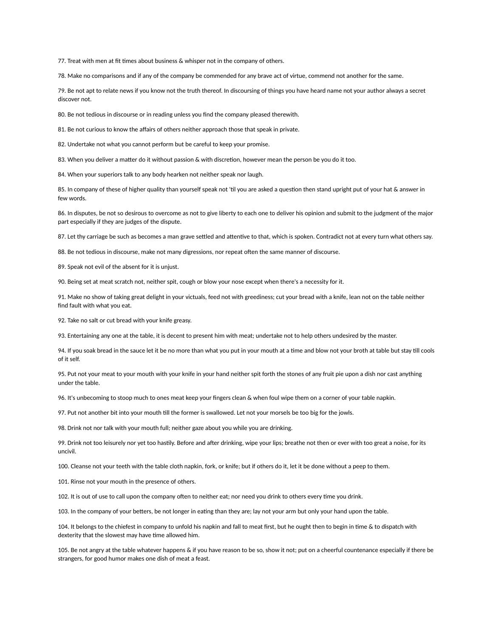77. Treat with men at fit times about business & whisper not in the company of others.

78. Make no comparisons and if any of the company be commended for any brave act of virtue, commend not another for the same.

79. Be not apt to relate news if you know not the truth thereof. In discoursing of things you have heard name not your author always a secret discover not.

80. Be not tedious in discourse or in reading unless you find the company pleased therewith.

81. Be not curious to know the affairs of others neither approach those that speak in private.

82. Undertake not what you cannot perform but be careful to keep your promise.

83. When you deliver a matter do it without passion & with discretion, however mean the person be you do it too.

84. When your superiors talk to any body hearken not neither speak nor laugh.

85. In company of these of higher quality than yourself speak not 'til you are asked a question then stand upright put of your hat & answer in few words.

86. In disputes, be not so desirous to overcome as not to give liberty to each one to deliver his opinion and submit to the judgment of the major part especially if they are judges of the dispute.

87. Let thy carriage be such as becomes a man grave settled and attentive to that, which is spoken. Contradict not at every turn what others say.

88. Be not tedious in discourse, make not many digressions, nor repeat often the same manner of discourse.

89. Speak not evil of the absent for it is unjust.

90. Being set at meat scratch not, neither spit, cough or blow your nose except when there's a necessity for it.

91. Make no show of taking great delight in your victuals, feed not with greediness; cut your bread with a knife, lean not on the table neither find fault with what you eat.

92. Take no salt or cut bread with your knife greasy.

93. Entertaining any one at the table, it is decent to present him with meat; undertake not to help others undesired by the master.

94. If you soak bread in the sauce let it be no more than what you put in your mouth at a time and blow not your broth at table but stay till cools of it self.

95. Put not your meat to your mouth with your knife in your hand neither spit forth the stones of any fruit pie upon a dish nor cast anything under the table.

96. It's unbecoming to stoop much to ones meat keep your fingers clean & when foul wipe them on a corner of your table napkin.

97. Put not another bit into your mouth till the former is swallowed. Let not your morsels be too big for the jowls.

98. Drink not nor talk with your mouth full; neither gaze about you while you are drinking.

99. Drink not too leisurely nor yet too hastily. Before and after drinking, wipe your lips; breathe not then or ever with too great a noise, for its uncivil.

100. Cleanse not your teeth with the table cloth napkin, fork, or knife; but if others do it, let it be done without a peep to them.

101. Rinse not your mouth in the presence of others.

102. It is out of use to call upon the company often to neither eat; nor need you drink to others every time you drink.

103. In the company of your betters, be not longer in eating than they are; lay not your arm but only your hand upon the table.

104. It belongs to the chiefest in company to unfold his napkin and fall to meat first, but he ought then to begin in time & to dispatch with dexterity that the slowest may have time allowed him.

105. Be not angry at the table whatever happens & if you have reason to be so, show it not; put on a cheerful countenance especially if there be strangers, for good humor makes one dish of meat a feast.